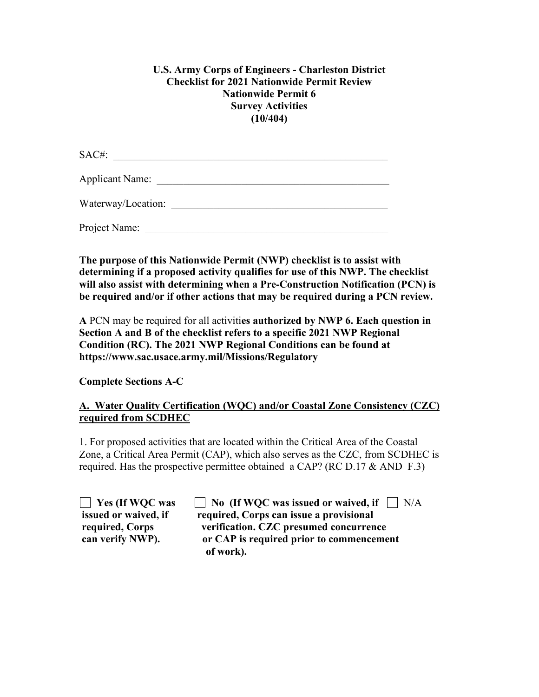## **U.S. Army Corps of Engineers - Charleston District Checklist for 2021 Nationwide Permit Review Nationwide Permit 6 Survey Activities (10/404)**

SAC#: \_\_\_\_\_\_\_\_\_\_\_\_\_\_\_\_\_\_\_\_\_\_\_\_\_\_\_\_\_\_\_\_\_\_\_\_\_\_\_\_\_\_\_\_\_\_\_\_\_\_\_\_ Applicant Name: \_\_\_\_\_\_\_\_\_\_\_\_\_\_\_\_\_\_\_\_\_\_\_\_\_\_\_\_\_\_\_\_\_\_\_\_\_\_\_\_\_\_\_\_

Waterway/Location:

Project Name:

**The purpose of this Nationwide Permit (NWP) checklist is to assist with determining if a proposed activity qualifies for use of this NWP. The checklist will also assist with determining when a Pre-Construction Notification (PCN) is be required and/or if other actions that may be required during a PCN review.**

**A** PCN may be required for all activiti**es authorized by NWP 6. Each question in Section A and B of the checklist refers to a specific 2021 NWP Regional Condition (RC). The 2021 NWP Regional Conditions can be found at https://www.sac.usace.army.mil/Missions/Regulatory**

**Complete Sections A-C**

## **A. Water Quality Certification (WQC) and/or Coastal Zone Consistency (CZC) required from SCDHEC**

1. For proposed activities that are located within the Critical Area of the Coastal Zone, a Critical Area Permit (CAP), which also serves as the CZC, from SCDHEC is required. Has the prospective permittee obtained a CAP? (RC D.17  $&$  AND F.3)

| Yes (If WQC was      |
|----------------------|
| issued or waived, if |
| required, Corps      |
| can verify NWP).     |

**No (If WQC was issued or waived, if** N/A **interatagely issue a provisional** verification. CZC presumed concurrence or CAP is required prior to commencement  **of work).**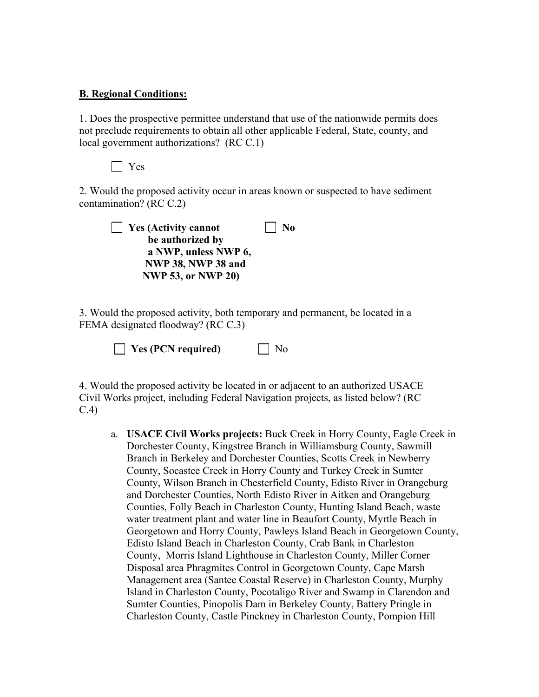## **B. Regional Conditions:**

1. Does the prospective permittee understand that use of the nationwide permits does not preclude requirements to obtain all other applicable Federal, State, county, and local government authorizations? (RC C.1)

Yes

2. Would the proposed activity occur in areas known or suspected to have sediment contamination? (RC C.2)



3. Would the proposed activity, both temporary and permanent, be located in a FEMA designated floodway? (RC C.3)

**Yes (PCN required)** No

4. Would the proposed activity be located in or adjacent to an authorized USACE Civil Works project, including Federal Navigation projects, as listed below? (RC C.4)

a. **USACE Civil Works projects:** Buck Creek in Horry County, Eagle Creek in Dorchester County, Kingstree Branch in Williamsburg County, Sawmill Branch in Berkeley and Dorchester Counties, Scotts Creek in Newberry County, Socastee Creek in Horry County and Turkey Creek in Sumter County, Wilson Branch in Chesterfield County, Edisto River in Orangeburg and Dorchester Counties, North Edisto River in Aitken and Orangeburg Counties, Folly Beach in Charleston County, Hunting Island Beach, waste water treatment plant and water line in Beaufort County, Myrtle Beach in Georgetown and Horry County, Pawleys Island Beach in Georgetown County, Edisto Island Beach in Charleston County, Crab Bank in Charleston County, Morris Island Lighthouse in Charleston County, Miller Corner Disposal area Phragmites Control in Georgetown County, Cape Marsh Management area (Santee Coastal Reserve) in Charleston County, Murphy Island in Charleston County, Pocotaligo River and Swamp in Clarendon and Sumter Counties, Pinopolis Dam in Berkeley County, Battery Pringle in Charleston County, Castle Pinckney in Charleston County, Pompion Hill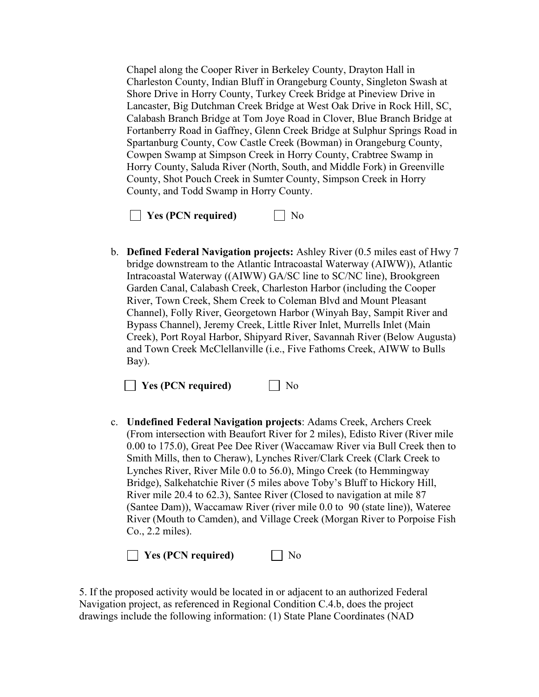Chapel along the Cooper River in Berkeley County, Drayton Hall in Charleston County, Indian Bluff in Orangeburg County, Singleton Swash at Shore Drive in Horry County, Turkey Creek Bridge at Pineview Drive in Lancaster, Big Dutchman Creek Bridge at West Oak Drive in Rock Hill, SC, Calabash Branch Bridge at Tom Joye Road in Clover, Blue Branch Bridge at Fortanberry Road in Gaffney, Glenn Creek Bridge at Sulphur Springs Road in Spartanburg County, Cow Castle Creek (Bowman) in Orangeburg County, Cowpen Swamp at Simpson Creek in Horry County, Crabtree Swamp in Horry County, Saluda River (North, South, and Middle Fork) in Greenville County, Shot Pouch Creek in Sumter County, Simpson Creek in Horry County, and Todd Swamp in Horry County.



b. **Defined Federal Navigation projects:** Ashley River (0.5 miles east of Hwy 7 bridge downstream to the Atlantic Intracoastal Waterway (AIWW)), Atlantic Intracoastal Waterway ((AIWW) GA/SC line to SC/NC line), Brookgreen Garden Canal, Calabash Creek, Charleston Harbor (including the Cooper River, Town Creek, Shem Creek to Coleman Blvd and Mount Pleasant Channel), Folly River, Georgetown Harbor (Winyah Bay, Sampit River and Bypass Channel), Jeremy Creek, Little River Inlet, Murrells Inlet (Main Creek), Port Royal Harbor, Shipyard River, Savannah River (Below Augusta) and Town Creek McClellanville (i.e., Five Fathoms Creek, AIWW to Bulls Bay).

**No** Yes (PCN required) Mo

c. **Undefined Federal Navigation projects**: Adams Creek, Archers Creek (From intersection with Beaufort River for 2 miles), Edisto River (River mile 0.00 to 175.0), Great Pee Dee River (Waccamaw River via Bull Creek then to Smith Mills, then to Cheraw), Lynches River/Clark Creek (Clark Creek to Lynches River, River Mile 0.0 to 56.0), Mingo Creek (to Hemmingway Bridge), Salkehatchie River (5 miles above Toby's Bluff to Hickory Hill, River mile 20.4 to 62.3), Santee River (Closed to navigation at mile 87 (Santee Dam)), Waccamaw River (river mile 0.0 to 90 (state line)), Wateree River (Mouth to Camden), and Village Creek (Morgan River to Porpoise Fish Co., 2.2 miles).

**Yes (PCN required)** No

5. If the proposed activity would be located in or adjacent to an authorized Federal Navigation project, as referenced in Regional Condition C.4.b, does the project drawings include the following information: (1) State Plane Coordinates (NAD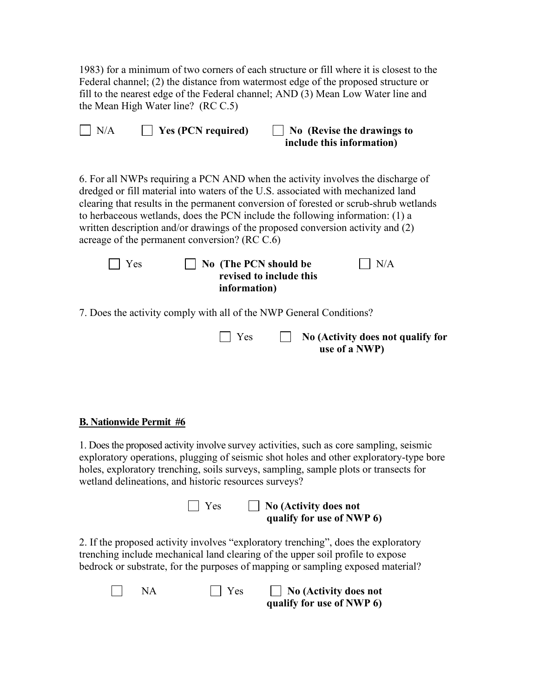1983) for a minimum of two corners of each structure or fill where it is closest to the Federal channel; (2) the distance from watermost edge of the proposed structure or fill to the nearest edge of the Federal channel; AND (3) Mean Low Water line and the Mean High Water line? (RC C.5)

| $\vert$ Yes (PCN required)<br>N/A                                                                                                                                                                                                                                                                                                                                                                                                                                                 | No (Revise the drawings to<br>include this information) |
|-----------------------------------------------------------------------------------------------------------------------------------------------------------------------------------------------------------------------------------------------------------------------------------------------------------------------------------------------------------------------------------------------------------------------------------------------------------------------------------|---------------------------------------------------------|
| 6. For all NWPs requiring a PCN AND when the activity involves the discharge of<br>dredged or fill material into waters of the U.S. associated with mechanized land<br>clearing that results in the permanent conversion of forested or scrub-shrub wetlands<br>to herbaceous wetlands, does the PCN include the following information: (1) a<br>written description and/or drawings of the proposed conversion activity and (2)<br>acreage of the permanent conversion? (RC C.6) |                                                         |
|                                                                                                                                                                                                                                                                                                                                                                                                                                                                                   |                                                         |

| $\vert$ Yes | $\vert$ No (The PCN should be | N/A |
|-------------|-------------------------------|-----|
|             | revised to include this       |     |
|             | information)                  |     |
|             |                               |     |

7. Does the activity comply with all of the NWP General Conditions?

| $\Box$ Yes | $\Box$ No (Activity does not qualify for |
|------------|------------------------------------------|
|            | use of a NWP)                            |

## **B. Nationwide Permit #6**

1. Does the proposed activity involve survey activities, such as core sampling, seismic exploratory operations, plugging of seismic shot holes and other exploratory-type bore holes, exploratory trenching, soils surveys, sampling, sample plots or transects for wetland delineations, and historic resources surveys?

> Yes **No (Activity does not qualify for use of NWP 6)**

2. If the proposed activity involves "exploratory trenching", does the exploratory trenching include mechanical land clearing of the upper soil profile to expose bedrock or substrate, for the purposes of mapping or sampling exposed material?

| <b>NA</b> | $\Box$ Yes | $\Box$ No (Activity does not |
|-----------|------------|------------------------------|
|           |            | qualify for use of NWP 6)    |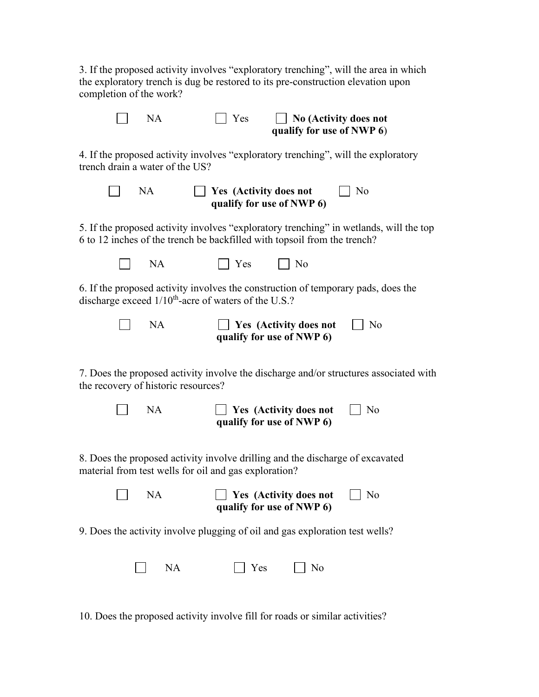3. If the proposed activity involves "exploratory trenching", will the area in which the exploratory trench is dug be restored to its pre-construction elevation upon completion of the work?

 NA Yes **No (Activity does not qualify for use of NWP 6**) 4. If the proposed activity involves "exploratory trenching", will the exploratory trench drain a water of the US? **NA Yes (Activity does not**  $\Box$  No **qualify for use of NWP 6)** 5. If the proposed activity involves "exploratory trenching" in wetlands, will the top 6 to 12 inches of the trench be backfilled with topsoil from the trench?  $\Box$  NA  $\Box$  Yes  $\Box$  No 6. If the proposed activity involves the construction of temporary pads, does the discharge exceed  $1/10^{th}$ -acre of waters of the U.S.? NA **Yes (Activity does not**  $\Box$  No **qualify for use of NWP 6)** 7. Does the proposed activity involve the discharge and/or structures associated with the recovery of historic resources? NA **Yes (Activity does not** No **qualify for use of NWP 6)** 8. Does the proposed activity involve drilling and the discharge of excavated material from test wells for oil and gas exploration? NA **Yes (Activity does not** No **qualify for use of NWP 6)**

9. Does the activity involve plugging of oil and gas exploration test wells?

| <b>NA</b> | $\Box$ Yes | $\Box$ No |
|-----------|------------|-----------|
|-----------|------------|-----------|

10. Does the proposed activity involve fill for roads or similar activities?